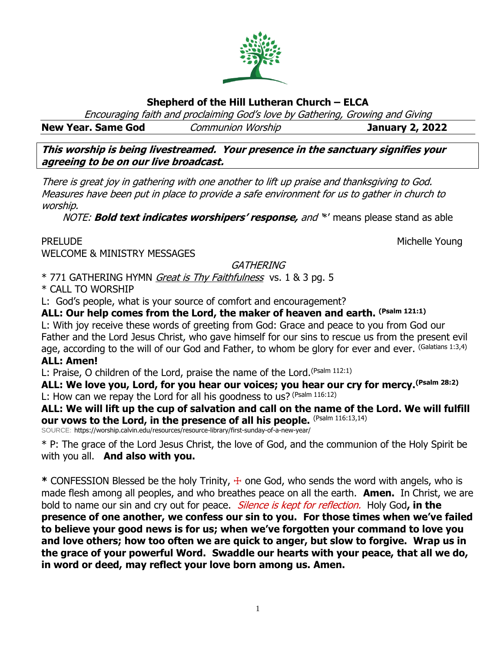#### **Shepherd of the Hill Lutheran Church – ELCA**

Encouraging faith and proclaiming God's love by Gathering, Growing and Giving

**New Year. Same God** Communion Worship **January 2, 2022**

**This worship is being livestreamed. Your presence in the sanctuary signifies your agreeing to be on our live broadcast.** 

There is great joy in gathering with one another to lift up praise and thanksgiving to God. Measures have been put in place to provide a safe environment for us to gather in church to worship.

NOTE: **Bold text indicates worshipers' response,** and '\*' means please stand as able

PRELUDE NOUNE ALL AND THE SERVICE OF THE SERVICE OF THE MICHELLE YOUNG WELCOME & MINISTRY MESSAGES

GATHERING

\* 771 GATHERING HYMN Great is Thy Faithfulness vs. 1 & 3 pg. 5

\* CALL TO WORSHIP

L: God's people, what is your source of comfort and encouragement?

**ALL: Our help comes from the Lord, the maker of heaven and earth. (Psalm 121:1)** L: With joy receive these words of greeting from God: Grace and peace to you from God our Father and the Lord Jesus Christ, who gave himself for our sins to rescue us from the present evil age, according to the will of our God and Father, to whom be glory for ever and ever. (Galatians 1:3,4) **ALL: Amen!**

L: Praise, O children of the Lord, praise the name of the Lord.<sup>(Psalm 112:1)</sup>

**ALL: We love you, Lord, for you hear our voices; you hear our cry for mercy.(Psalm 28:2)** L: How can we repay the Lord for all his goodness to us? (Psalm 116:12)

**ALL: We will lift up the cup of salvation and call on the name of the Lord. We will fulfill our vows to the Lord, in the presence of all his people.** (Psalm 116:13,14)

SOURCE: https://worship.calvin.edu/resources/resource-library/first-sunday-of-a-new-year/

\* P: The grace of the Lord Jesus Christ, the love of God, and the communion of the Holy Spirit be with you all. **And also with you.**

**\*** CONFESSION Blessed be the holy Trinity, ☩ one God, who sends the word with angels, who is made flesh among all peoples, and who breathes peace on all the earth. **Amen.** In Christ, we are bold to name our sin and cry out for peace. Silence is kept for reflection. Holy God**, in the presence of one another, we confess our sin to you. For those times when we've failed to believe your good news is for us; when we've forgotten your command to love you and love others; how too often we are quick to anger, but slow to forgive. Wrap us in the grace of your powerful Word. Swaddle our hearts with your peace, that all we do, in word or deed, may reflect your love born among us. Amen.**

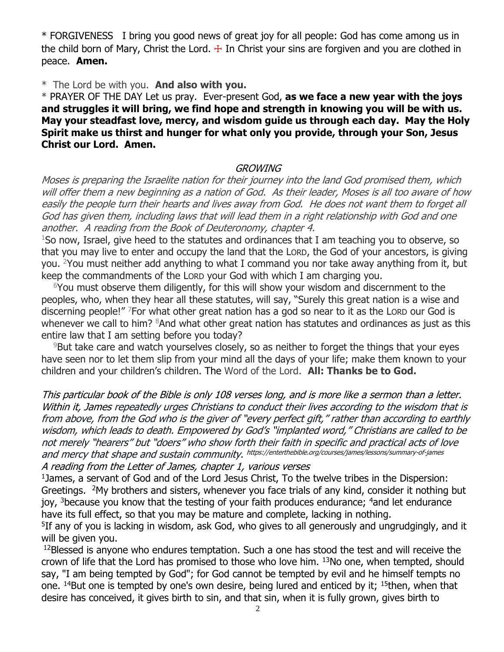\* FORGIVENESS I bring you good news of great joy for all people: God has come among us in the child born of Mary, Christ the Lord.  $+$  In Christ your sins are forgiven and you are clothed in peace. **Amen.**

\* The Lord be with you. **And also with you.** 

\* PRAYER OF THE DAY Let us pray. Ever-present God, **as we face a new year with the joys and struggles it will bring, we find hope and strength in knowing you will be with us. May your steadfast love, mercy, and wisdom guide us through each day. May the Holy Spirit make us thirst and hunger for what only you provide, through your Son, Jesus Christ our Lord. Amen.**

#### **GROWING**

Moses is preparing the Israelite nation for their journey into the land God promised them, which will offer them a new beginning as a nation of God. As their leader, Moses is all too aware of how easily the people turn their hearts and lives away from God. He does not want them to forget all God has given them, including laws that will lead them in a right relationship with God and one another. A reading from the Book of Deuteronomy, chapter 4.

 $1$ So now, Israel, give heed to the statutes and ordinances that I am teaching you to observe, so that you may live to enter and occupy the land that the LORD, the God of your ancestors, is giving you. <sup>2</sup>You must neither add anything to what I command you nor take away anything from it, but keep the commandments of the LORD your God with which I am charging you.

 $6$ You must observe them diligently, for this will show your wisdom and discernment to the peoples, who, when they hear all these statutes, will say, "Surely this great nation is a wise and discerning people!" <sup>7</sup>For what other great nation has a god so near to it as the LORD our God is whenever we call to him? <sup>8</sup>And what other great nation has statutes and ordinances as just as this entire law that I am setting before you today?

<sup>9</sup>But take care and watch yourselves closely, so as neither to forget the things that your eyes have seen nor to let them slip from your mind all the days of your life; make them known to your children and your children's children. The Word of the Lord. **All: Thanks be to God.** 

This particular book of the Bible is only 108 verses long, and is more like a sermon than a letter. Within it, James repeatedly urges Christians to conduct their lives according to the wisdom that is from above, from the God who is the giver of "every perfect gift," rather than according to earthly wisdom, which leads to death. Empowered by God's "implanted word," Christians are called to be not merely "hearers" but "doers" who show forth their faith in specific and practical acts of love and mercy that shape and sustain community. https://enterthebible.org/courses/james/lessons/summary-of-james

A reading from the Letter of James, chapter 1, various verses

<sup>1</sup>James, a servant of God and of the Lord Jesus Christ, To the twelve tribes in the Dispersion: Greetings. <sup>2</sup>My brothers and sisters, whenever you face trials of any kind, consider it nothing but joy,  $3$ because you know that the testing of your faith produces endurance;  $4$  and let endurance have its full effect, so that you may be mature and complete, lacking in nothing.

<sup>5</sup>If any of you is lacking in wisdom, ask God, who gives to all generously and ungrudgingly, and it will be given you.

 $12B$ lessed is anyone who endures temptation. Such a one has stood the test and will receive the crown of life that the Lord has promised to those who love him.  $13$ No one, when tempted, should say, "I am being tempted by God"; for God cannot be tempted by evil and he himself tempts no one.  $^{14}$ But one is tempted by one's own desire, being lured and enticed by it;  $^{15}$ then, when that desire has conceived, it gives birth to sin, and that sin, when it is fully grown, gives birth to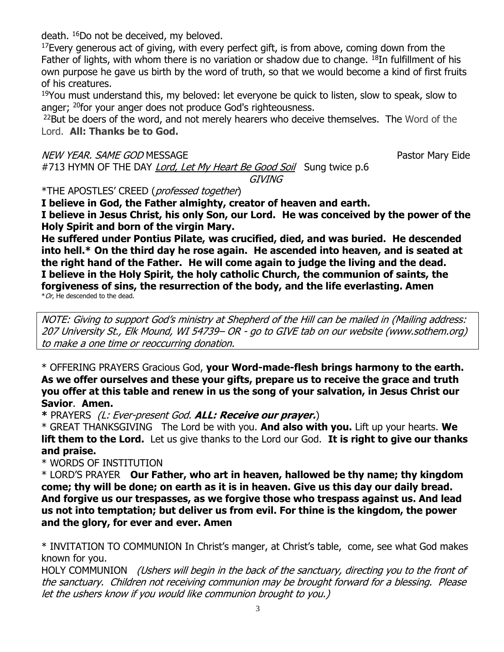death. <sup>16</sup>Do not be deceived, my beloved.

 $17$  Every generous act of giving, with every perfect gift, is from above, coming down from the Father of lights, with whom there is no variation or shadow due to change. <sup>18</sup>In fulfillment of his own purpose he gave us birth by the word of truth, so that we would become a kind of first fruits of his creatures.

 $19$ You must understand this, my beloved: let everyone be quick to listen, slow to speak, slow to anger; <sup>20</sup>for your anger does not produce God's righteousness.

<sup>22</sup>But be doers of the word, and not merely hearers who deceive themselves. The Word of the Lord. **All: Thanks be to God.** 

NEW YEAR. SAME GOD MESSAGE **Pastor Mary Eide** Pastor Mary Eide

#713 HYMN OF THE DAY *Lord, Let My Heart Be Good Soil* Sung twice p.6 **GIVING** 

\*THE APOSTLES' CREED (professed together)

**I believe in God, the Father almighty, creator of heaven and earth. I believe in Jesus Christ, his only Son, our Lord. He was conceived by the power of the Holy Spirit and born of the virgin Mary.**

**He suffered under Pontius Pilate, was crucified, died, and was buried. He descended into hell.\* On the third day he rose again. He ascended into heaven, and is seated at the right hand of the Father. He will come again to judge the living and the dead. I believe in the Holy Spirit, the holy catholic Church, the communion of saints, the forgiveness of sins, the resurrection of the body, and the life everlasting. Amen**  $*$  Or, He descended to the dead.

NOTE: Giving to support God's ministry at Shepherd of the Hill can be mailed in (Mailing address: 207 University St., Elk Mound, WI 54739– OR - go to GIVE tab on our website (www.sothem.org) to make a one time or reoccurring donation.

\* OFFERING PRAYERS Gracious God, **your Word-made-flesh brings harmony to the earth. As we offer ourselves and these your gifts, prepare us to receive the grace and truth you offer at this table and renew in us the song of your salvation, in Jesus Christ our Savior**. **Amen.**

**\*** PRAYERS (L: Ever-present God. **ALL: Receive our prayer.**)

\* GREAT THANKSGIVING The Lord be with you. **And also with you.** Lift up your hearts. **We lift them to the Lord.** Let us give thanks to the Lord our God. **It is right to give our thanks and praise.** 

\* WORDS OF INSTITUTION

\* LORD'S PRAYER **Our Father, who art in heaven, hallowed be thy name; thy kingdom come; thy will be done; on earth as it is in heaven. Give us this day our daily bread. And forgive us our trespasses, as we forgive those who trespass against us. And lead us not into temptation; but deliver us from evil. For thine is the kingdom, the power and the glory, for ever and ever. Amen**

\* INVITATION TO COMMUNION In Christ's manger, at Christ's table, come, see what God makes known for you.

HOLY COMMUNION (Ushers will begin in the back of the sanctuary, directing you to the front of the sanctuary. Children not receiving communion may be brought forward for a blessing. Please let the ushers know if you would like communion brought to you.)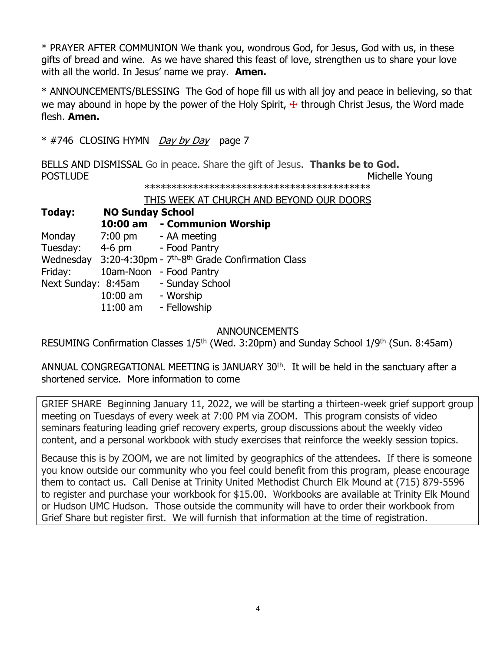\* PRAYER AFTER COMMUNION We thank you, wondrous God, for Jesus, God with us, in these gifts of bread and wine. As we have shared this feast of love, strengthen us to share your love with all the world. In Jesus' name we pray. **Amen.**

\* ANNOUNCEMENTS/BLESSING The God of hope fill us with all joy and peace in believing, so that we may abound in hope by the power of the Holy Spirit,  $+$  through Christ Jesus, the Word made flesh. **Amen.**

 $*$  #746 CLOSING HYMN *Day by Day* page 7

BELLS AND DISMISSAL Go in peace. Share the gift of Jesus. **Thanks be to God.** POSTLUDE **Michelle Young** \*\*\*\*\*\*\*\*\*\*\*\*\*\*\*\*\*\*\*\*\*\*\*\*\*\*\*\*\*\*\*\*\*\*\*\*\*\*\*\*\*\*

THIS WEEK AT CHURCH AND BEYOND OUR DOORS

**Today: NO Sunday School 10:00 am - Communion Worship** Monday 7:00 pm - AA meeting Tuesday: 4-6 pm - Food Pantry Wednesday 3:20-4:30pm - 7<sup>th</sup>-8<sup>th</sup> Grade Confirmation Class Friday: 10am-Noon - Food Pantry Next Sunday: 8:45am - Sunday School 10:00 am - Worship 11:00 am - Fellowship

## ANNOUNCEMENTS

RESUMING Confirmation Classes 1/5<sup>th</sup> (Wed. 3:20pm) and Sunday School 1/9<sup>th</sup> (Sun. 8:45am)

ANNUAL CONGREGATIONAL MEETING is JANUARY  $30<sup>th</sup>$ . It will be held in the sanctuary after a shortened service. More information to come

GRIEF SHARE Beginning January 11, 2022, we will be starting a thirteen-week grief support group meeting on Tuesdays of every week at 7:00 PM via ZOOM. This program consists of video seminars featuring leading grief recovery experts, group discussions about the weekly video content, and a personal workbook with study exercises that reinforce the weekly session topics.

Because this is by ZOOM, we are not limited by geographics of the attendees. If there is someone you know outside our community who you feel could benefit from this program, please encourage them to contact us. Call Denise at Trinity United Methodist Church Elk Mound at (715) 879-5596 to register and purchase your workbook for \$15.00. Workbooks are available at Trinity Elk Mound or Hudson UMC Hudson. Those outside the community will have to order their workbook from Grief Share but register first. We will furnish that information at the time of registration.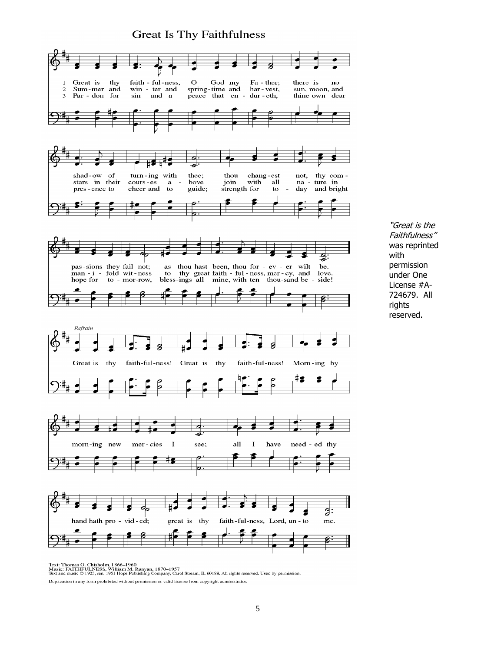## **Great Is Thy Faithfulness**



"Great is the Faithfulness" was reprinted with permission under One License #A-724679. All rights reserved.

Text: Thomas O. Chisholm, 1866–1960<br>Music: FAITHFULNESS, William M. Runyan, 1870–1957<br>Text and music © 1923, ren. 1951 Hope Publishing Company, Carol Stream, IL 60188. All rights reserved. Used by permission. Duplication in any form prohibited without permission or valid license from copyright administrator.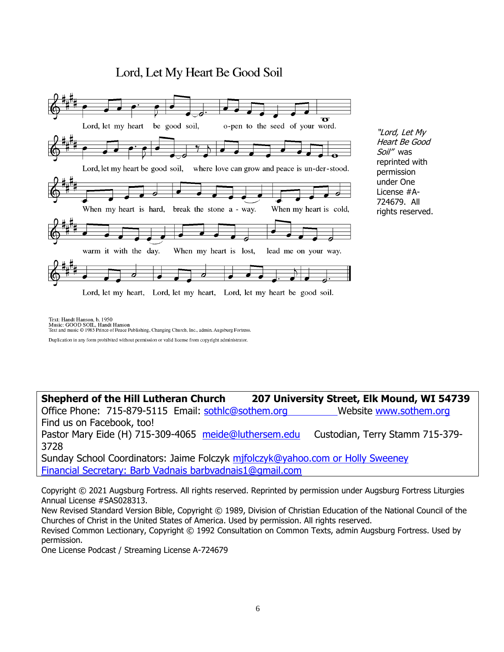# Lord, Let My Heart Be Good Soil



"Lord, Let My Heart Be Good Soil" was reprinted with permission under One License #A-724679. All rights reserved.

Text: Handt Hanson, b. 1950<br>Music: GOOD SOIL, Handt Hanson Text and music © 1985 Prince of Peace Publishing, Changing Church, Inc., admin. Augsburg Fortress.

Duplication in any form prohibited without permission or valid license from copyright administrator.

**Shepherd of the Hill Lutheran Church 207 University Street, Elk Mound, WI 54739**

Office Phone: 715-879-5115 Email: [sothlc@sothem.org](mailto:sothlc@sothem.org) Website www.sothem.org Find us on Facebook, too!

Pastor Mary Eide (H) 715-309-4065 [meide@luthersem.edu](mailto:meide@luthersem.edu) Custodian, Terry Stamm 715-379-3728

Sunday School Coordinators: Jaime Folczyk [mjfolczyk@yahoo.com](mailto:mjfolczyk@yahoo.com) or Holly Sweeney Financial Secretary: Barb Vadnais [barbvadnais1@gmail.com](mailto:barbvadnais1@gmail.com)

Copyright © 2021 Augsburg Fortress. All rights reserved. Reprinted by permission under Augsburg Fortress Liturgies Annual License #SAS028313.

New Revised Standard Version Bible, Copyright © 1989, Division of Christian Education of the National Council of the Churches of Christ in the United States of America. Used by permission. All rights reserved.

Revised Common Lectionary, Copyright © 1992 Consultation on Common Texts, admin Augsburg Fortress. Used by permission.

One License Podcast / Streaming License A-724679